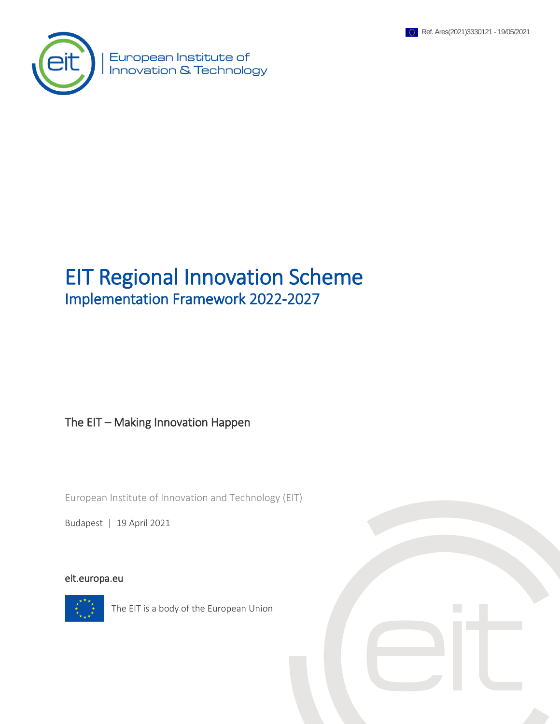



European Institute of Innovation & Technology

## EIT Regional Innovation Scheme Implementation Framework 2022-2027

#### The EIT – Making Innovation Happen

European Institute of Innovation and Technology (EIT)

Budapest | 19 April 2021

#### [eit.europa.eu](http://www.eit.europa.eu/)



The EIT is a body of the European Union

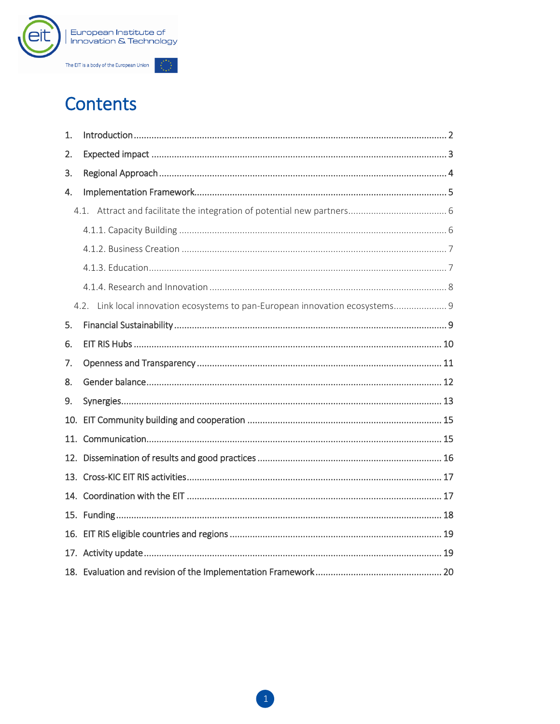

# **Contents**

| 1. |                                                                               |  |
|----|-------------------------------------------------------------------------------|--|
| 2. |                                                                               |  |
| 3. |                                                                               |  |
| 4. |                                                                               |  |
|    |                                                                               |  |
|    |                                                                               |  |
|    |                                                                               |  |
|    |                                                                               |  |
|    |                                                                               |  |
|    | 4.2. Link local innovation ecosystems to pan-European innovation ecosystems 9 |  |
| 5. |                                                                               |  |
| 6. |                                                                               |  |
| 7. |                                                                               |  |
| 8. |                                                                               |  |
| 9. |                                                                               |  |
|    |                                                                               |  |
|    |                                                                               |  |
|    |                                                                               |  |
|    |                                                                               |  |
|    |                                                                               |  |
|    |                                                                               |  |
|    |                                                                               |  |
|    |                                                                               |  |
|    |                                                                               |  |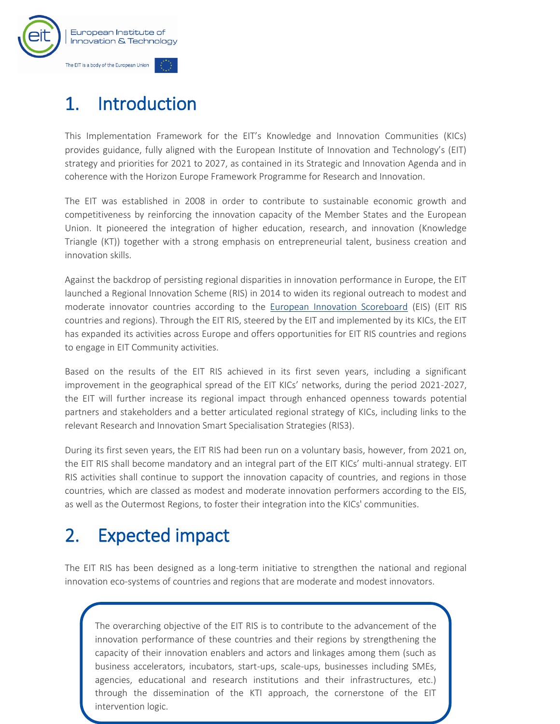

# <span id="page-2-0"></span>1. Introduction

This Implementation Framework for the EIT's Knowledge and Innovation Communities (KICs) provides guidance, fully aligned with the European Institute of Innovation and Technology's (EIT) strategy and priorities for 2021 to 2027, as contained in its Strategic and Innovation Agenda and in coherence with the Horizon Europe Framework Programme for Research and Innovation.

The EIT was established in 2008 in order to contribute to sustainable economic growth and competitiveness by reinforcing the innovation capacity of the Member States and the European Union. It pioneered the integration of higher education, research, and innovation (Knowledge Triangle (KT)) together with a strong emphasis on entrepreneurial talent, business creation and innovation skills.

Against the backdrop of persisting regional disparities in innovation performance in Europe, the EIT launched a Regional Innovation Scheme (RIS) in 2014 to widen its regional outreach to modest and moderate innovator countries according to the [European Innovation Scoreboard](https://ec.europa.eu/growth/industry/policy/innovation/scoreboards_en) (EIS) (EIT RIS countries and regions). Through the EIT RIS, steered by the EIT and implemented by its KICs, the EIT has expanded its activities across Europe and offers opportunities for EIT RIS countries and regions to engage in EIT Community activities.

Based on the results of the EIT RIS achieved in its first seven years, including a significant improvement in the geographical spread of the EIT KICs' networks, during the period 2021-2027, the EIT will further increase its regional impact through enhanced openness towards potential partners and stakeholders and a better articulated regional strategy of KICs, including links to the relevant Research and Innovation Smart Specialisation Strategies (RIS3).

During its first seven years, the EIT RIS had been run on a voluntary basis, however, from 2021 on, the EIT RIS shall become mandatory and an integral part of the EIT KICs' multi-annual strategy. EIT RIS activities shall continue to support the innovation capacity of countries, and regions in those countries, which are classed as modest and moderate innovation performers according to the EIS, as well as the Outermost Regions, to foster their integration into the KICs' communities.

# <span id="page-2-1"></span>2. Expected impact

The EIT RIS has been designed as a long-term initiative to strengthen the national and regional innovation eco-systems of countries and regions that are moderate and modest innovators.

2 through the dissemination of the KTI approach, the cornerstone of the EIT The overarching objective of the EIT RIS is to contribute to the advancement of the innovation performance of these countries and their regions by strengthening the capacity of their innovation enablers and actors and linkages among them (such as business accelerators, incubators, start-ups, scale-ups, businesses including SMEs, agencies, educational and research institutions and their infrastructures, etc.) intervention logic.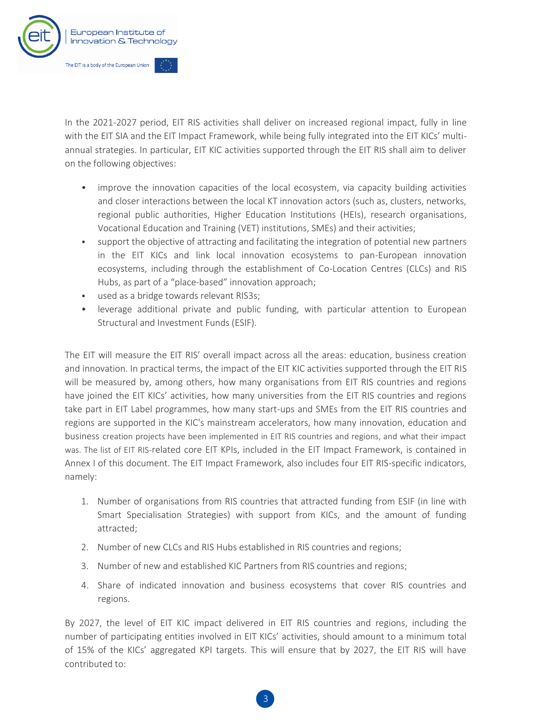

In the 2021-2027 period, EIT RIS activities shall deliver on increased regional impact, fully in line with the EIT SIA and the EIT Impact Framework, while being fully integrated into the EIT KICs' multiannual strategies. In particular, EIT KIC activities supported through the EIT RIS shall aim to deliver on the following objectives:

- improve the innovation capacities of the local ecosystem, via capacity building activities and closer interactions between the local KT innovation actors (such as, clusters, networks, regional public authorities, Higher Education Institutions (HEIs), research organisations, Vocational Education and Training (VET) institutions, SMEs) and their activities;
- support the objective of attracting and facilitating the integration of potential new partners in the EIT KICs and link local innovation ecosystems to pan-European innovation ecosystems, including through the establishment of Co-Location Centres (CLCs) and RIS Hubs, as part of a "place-based" innovation approach;
- used as a bridge towards relevant RIS3s;
- leverage additional private and public funding, with particular attention to European Structural and Investment Funds (ESIF).

The EIT will measure the EIT RIS' overall impact across all the areas: education, business creation and innovation. In practical terms, the impact of the EIT KIC activities supported through the EIT RIS will be measured by, among others, how many organisations from EIT RIS countries and regions have joined the EIT KICs' activities, how many universities from the EIT RIS countries and regions take part in EIT Label programmes, how many start-ups and SMEs from the EIT RIS countries and regions are supported in the KIC's mainstream accelerators, how many innovation, education and business creation projects have been implemented in EIT RIS countries and regions, and what their impact was. The list of EIT RIS-related core EIT KPIs, included in the EIT Impact Framework, is contained in Annex I of this document. The EIT Impact Framework, also includes four EIT RIS-specific indicators, namely:

- 1. Number of organisations from RIS countries that attracted funding from ESIF (in line with Smart Specialisation Strategies) with support from KICs, and the amount of funding attracted;
- 2. Number of new CLCs and RIS Hubs established in RIS countries and regions;
- 3. Number of new and established KIC Partners from RIS countries and regions;
- 4. Share of indicated innovation and business ecosystems that cover RIS countries and regions.

By 2027, the level of EIT KIC impact delivered in EIT RIS countries and regions, including the number of participating entities involved in EIT KICs' activities, should amount to a minimum total of 15% of the KICs' aggregated KPI targets. This will ensure that by 2027, the EIT RIS will have contributed to: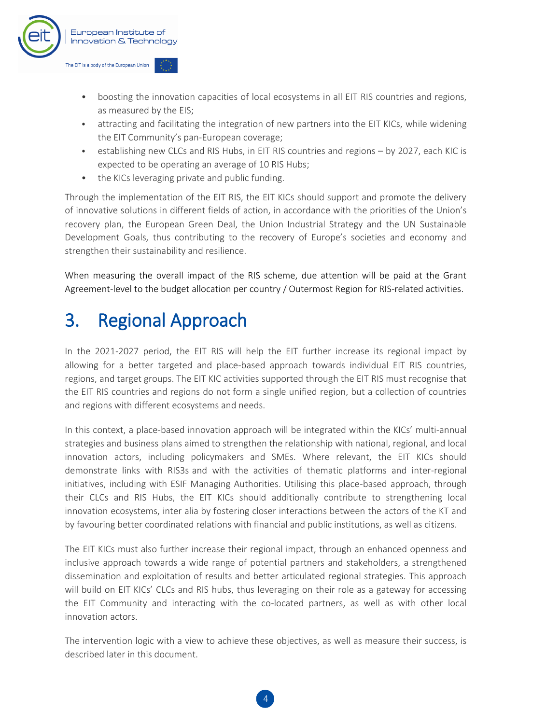

- boosting the innovation capacities of local ecosystems in all EIT RIS countries and regions, as measured by the EIS;
- attracting and facilitating the integration of new partners into the EIT KICs, while widening the EIT Community's pan-European coverage;
- establishing new CLCs and RIS Hubs, in EIT RIS countries and regions by 2027, each KIC is expected to be operating an average of 10 RIS Hubs;
- the KICs leveraging private and public funding.

Through the implementation of the EIT RIS, the EIT KICs should support and promote the delivery of innovative solutions in different fields of action, in accordance with the priorities of the Union's recovery plan, the European Green Deal, the Union Industrial Strategy and the UN Sustainable Development Goals, thus contributing to the recovery of Europe's societies and economy and strengthen their sustainability and resilience.

When measuring the overall impact of the RIS scheme, due attention will be paid at the Grant Agreement-level to the budget allocation per country / Outermost Region for RIS-related activities.

### <span id="page-4-0"></span>3. Regional Approach

In the 2021-2027 period, the EIT RIS will help the EIT further increase its regional impact by allowing for a better targeted and place-based approach towards individual EIT RIS countries, regions, and target groups. The EIT KIC activities supported through the EIT RIS must recognise that the EIT RIS countries and regions do not form a single unified region, but a collection of countries and regions with different ecosystems and needs.

In this context, a place-based innovation approach will be integrated within the KICs' multi-annual strategies and business plans aimed to strengthen the relationship with national, regional, and local innovation actors, including policymakers and SMEs. Where relevant, the EIT KICs should demonstrate links with RIS3s and with the activities of thematic platforms and inter-regional initiatives, including with ESIF Managing Authorities. Utilising this place-based approach, through their CLCs and RIS Hubs, the EIT KICs should additionally contribute to strengthening local innovation ecosystems, inter alia by fostering closer interactions between the actors of the KT and by favouring better coordinated relations with financial and public institutions, as well as citizens.

The EIT KICs must also further increase their regional impact, through an enhanced openness and inclusive approach towards a wide range of potential partners and stakeholders, a strengthened dissemination and exploitation of results and better articulated regional strategies. This approach will build on EIT KICs' CLCs and RIS hubs, thus leveraging on their role as a gateway for accessing the EIT Community and interacting with the co-located partners, as well as with other local innovation actors.

The intervention logic with a view to achieve these objectives, as well as measure their success, is described later in this document.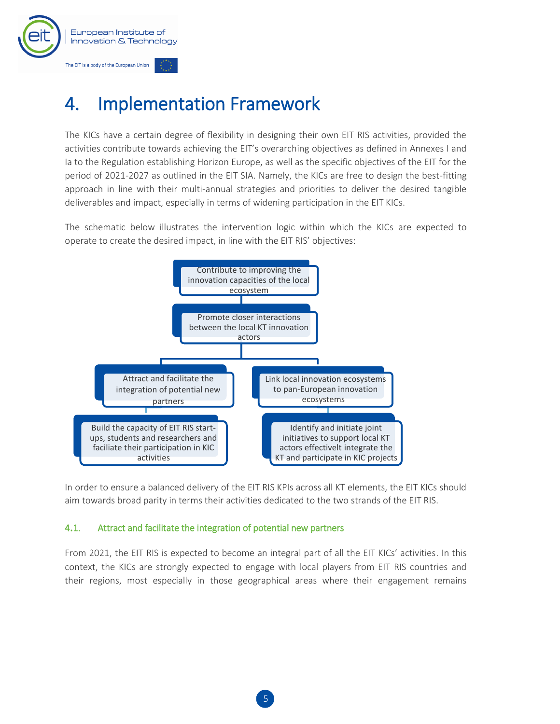

# <span id="page-5-0"></span>4. Implementation Framework

The KICs have a certain degree of flexibility in designing their own EIT RIS activities, provided the activities contribute towards achieving the EIT's overarching objectives as defined in Annexes I and Ia to the Regulation establishing Horizon Europe, as well as the specific objectives of the EIT for the period of 2021-2027 as outlined in the EIT SIA. Namely, the KICs are free to design the best-fitting approach in line with their multi-annual strategies and priorities to deliver the desired tangible deliverables and impact, especially in terms of widening participation in the EIT KICs.

The schematic below illustrates the intervention logic within which the KICs are expected to operate to create the desired impact, in line with the EIT RIS' objectives:



In order to ensure a balanced delivery of the EIT RIS KPIs across all KT elements, the EIT KICs should aim towards broad parity in terms their activities dedicated to the two strands of the EIT RIS.

#### <span id="page-5-1"></span>4.1. Attract and facilitate the integration of potential new partners

From 2021, the EIT RIS is expected to become an integral part of all the EIT KICs' activities. In this context, the KICs are strongly expected to engage with local players from EIT RIS countries and their regions, most especially in those geographical areas where their engagement remains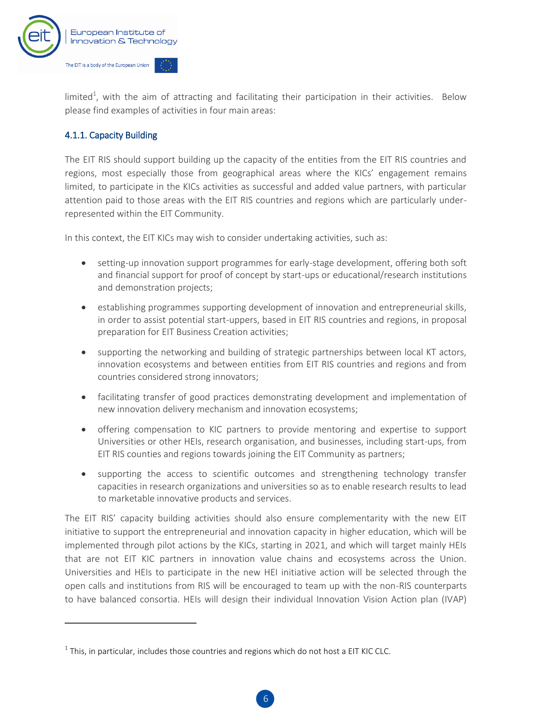

limited<sup>1</sup>, with the aim of attracting and facilitating their participation in their activities. Below please find examples of activities in four main areas:

#### <span id="page-6-0"></span>4.1.1. Capacity Building

 $\overline{a}$ 

The EIT RIS should support building up the capacity of the entities from the EIT RIS countries and regions, most especially those from geographical areas where the KICs' engagement remains limited, to participate in the KICs activities as successful and added value partners, with particular attention paid to those areas with the EIT RIS countries and regions which are particularly underrepresented within the EIT Community.

In this context, the EIT KICs may wish to consider undertaking activities, such as:

- setting-up innovation support programmes for early-stage development, offering both soft and financial support for proof of concept by start-ups or educational/research institutions and demonstration projects;
- establishing programmes supporting development of innovation and entrepreneurial skills, in order to assist potential start-uppers, based in EIT RIS countries and regions, in proposal preparation for EIT Business Creation activities;
- supporting the networking and building of strategic partnerships between local KT actors, innovation ecosystems and between entities from EIT RIS countries and regions and from countries considered strong innovators;
- facilitating transfer of good practices demonstrating development and implementation of new innovation delivery mechanism and innovation ecosystems;
- offering compensation to KIC partners to provide mentoring and expertise to support Universities or other HEIs, research organisation, and businesses, including start-ups, from EIT RIS counties and regions towards joining the EIT Community as partners;
- supporting the access to scientific outcomes and strengthening technology transfer capacities in research organizations and universities so as to enable research results to lead to marketable innovative products and services.

The EIT RIS' capacity building activities should also ensure complementarity with the new EIT initiative to support the entrepreneurial and innovation capacity in higher education, which will be implemented through pilot actions by the KICs, starting in 2021, and which will target mainly HEIs that are not EIT KIC partners in innovation value chains and ecosystems across the Union. Universities and HEIs to participate in the new HEI initiative action will be selected through the open calls and institutions from RIS will be encouraged to team up with the non-RIS counterparts to have balanced consortia. HEIs will design their individual Innovation Vision Action plan (IVAP)

 $^1$  This, in particular, includes those countries and regions which do not host a EIT KIC CLC.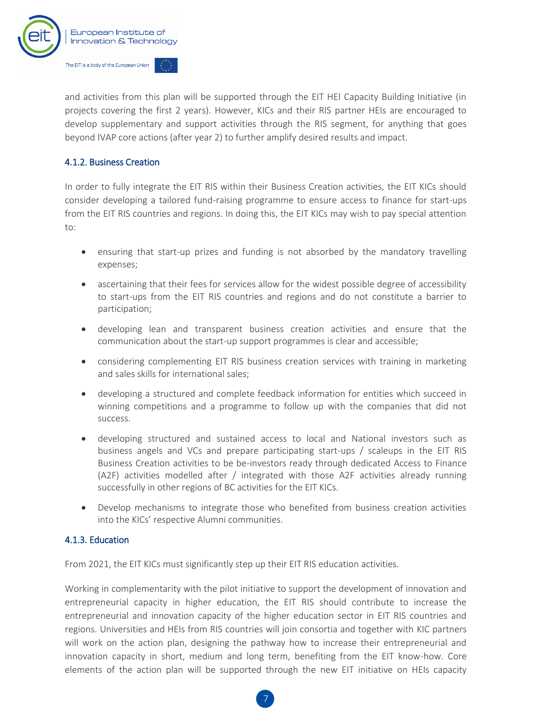

and activities from this plan will be supported through the EIT HEI Capacity Building Initiative (in projects covering the first 2 years). However, KICs and their RIS partner HEIs are encouraged to develop supplementary and support activities through the RIS segment, for anything that goes beyond IVAP core actions (after year 2) to further amplify desired results and impact.

#### <span id="page-7-0"></span>4.1.2. Business Creation

In order to fully integrate the EIT RIS within their Business Creation activities, the EIT KICs should consider developing a tailored fund-raising programme to ensure access to finance for start-ups from the EIT RIS countries and regions. In doing this, the EIT KICs may wish to pay special attention to:

- ensuring that start-up prizes and funding is not absorbed by the mandatory travelling expenses;
- ascertaining that their fees for services allow for the widest possible degree of accessibility to start-ups from the EIT RIS countries and regions and do not constitute a barrier to participation;
- developing lean and transparent business creation activities and ensure that the communication about the start-up support programmes is clear and accessible;
- considering complementing EIT RIS business creation services with training in marketing and sales skills for international sales;
- developing a structured and complete feedback information for entities which succeed in winning competitions and a programme to follow up with the companies that did not success.
- developing structured and sustained access to local and National investors such as business angels and VCs and prepare participating start-ups / scaleups in the EIT RIS Business Creation activities to be be-investors ready through dedicated Access to Finance (A2F) activities modelled after / integrated with those A2F activities already running successfully in other regions of BC activities for the EIT KICs.
- Develop mechanisms to integrate those who benefited from business creation activities into the KICs' respective Alumni communities.

#### <span id="page-7-1"></span>4.1.3. Education

From 2021, the EIT KICs must significantly step up their EIT RIS education activities.

Working in complementarity with the pilot initiative to support the development of innovation and entrepreneurial capacity in higher education, the EIT RIS should contribute to increase the entrepreneurial and innovation capacity of the higher education sector in EIT RIS countries and regions. Universities and HEIs from RIS countries will join consortia and together with KIC partners will work on the action plan, designing the pathway how to increase their entrepreneurial and innovation capacity in short, medium and long term, benefiting from the EIT know-how. Core elements of the action plan will be supported through the new EIT initiative on HEIs capacity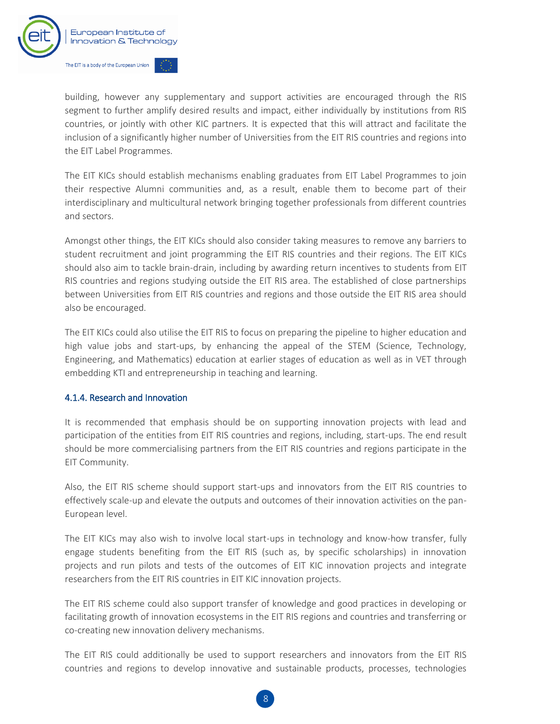

building, however any supplementary and support activities are encouraged through the RIS segment to further amplify desired results and impact, either individually by institutions from RIS countries, or jointly with other KIC partners. It is expected that this will attract and facilitate the inclusion of a significantly higher number of Universities from the EIT RIS countries and regions into the EIT Label Programmes.

The EIT KICs should establish mechanisms enabling graduates from EIT Label Programmes to join their respective Alumni communities and, as a result, enable them to become part of their interdisciplinary and multicultural network bringing together professionals from different countries and sectors.

Amongst other things, the EIT KICs should also consider taking measures to remove any barriers to student recruitment and joint programming the EIT RIS countries and their regions. The EIT KICs should also aim to tackle brain-drain, including by awarding return incentives to students from EIT RIS countries and regions studying outside the EIT RIS area. The established of close partnerships between Universities from EIT RIS countries and regions and those outside the EIT RIS area should also be encouraged.

The EIT KICs could also utilise the EIT RIS to focus on preparing the pipeline to higher education and high value jobs and start-ups, by enhancing the appeal of the STEM (Science, Technology, Engineering, and Mathematics) education at earlier stages of education as well as in VET through embedding KTI and entrepreneurship in teaching and learning.

#### <span id="page-8-0"></span>4.1.4. Research and Innovation

It is recommended that emphasis should be on supporting innovation projects with lead and participation of the entities from EIT RIS countries and regions, including, start-ups. The end result should be more commercialising partners from the EIT RIS countries and regions participate in the EIT Community.

Also, the EIT RIS scheme should support start-ups and innovators from the EIT RIS countries to effectively scale-up and elevate the outputs and outcomes of their innovation activities on the pan-European level.

The EIT KICs may also wish to involve local start-ups in technology and know-how transfer, fully engage students benefiting from the EIT RIS (such as, by specific scholarships) in innovation projects and run pilots and tests of the outcomes of EIT KIC innovation projects and integrate researchers from the EIT RIS countries in EIT KIC innovation projects.

The EIT RIS scheme could also support transfer of knowledge and good practices in developing or facilitating growth of innovation ecosystems in the EIT RIS regions and countries and transferring or co-creating new innovation delivery mechanisms.

The EIT RIS could additionally be used to support researchers and innovators from the EIT RIS countries and regions to develop innovative and sustainable products, processes, technologies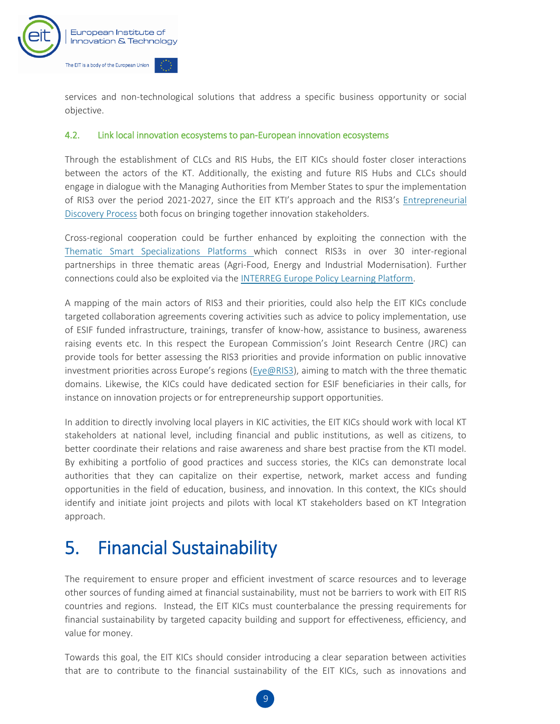

services and non-technological solutions that address a specific business opportunity or social objective.

#### <span id="page-9-0"></span>4.2. Link local innovation ecosystems to pan-European innovation ecosystems

Through the establishment of CLCs and RIS Hubs, the EIT KICs should foster closer interactions between the actors of the KT. Additionally, the existing and future RIS Hubs and CLCs should engage in dialogue with the Managing Authorities from Member States to spur the implementation of RIS3 over the period 2021-2027, since the EIT KTI's approach and the RIS3's [Entrepreneurial](https://s3platform.jrc.ec.europa.eu/entrepreneurial-discovery-process-cycle#:~:text=The%20term%20entrepreneurial%20discovery%20process,socio%2Deconomic%20system%20territorially%20bounded.)  [Discovery Process](https://s3platform.jrc.ec.europa.eu/entrepreneurial-discovery-process-cycle#:~:text=The%20term%20entrepreneurial%20discovery%20process,socio%2Deconomic%20system%20territorially%20bounded.) both focus on bringing together innovation stakeholders.

Cross-regional cooperation could be further enhanced by exploiting the connection with the [Thematic Smart Specializations Platforms](https://s3platform.jrc.ec.europa.eu/thematic-platforms) which connect RIS3s in over 30 inter-regional partnerships in three thematic areas (Agri-Food, Energy and Industrial Modernisation). Further connections could also be exploited via the [INTERREG Europe Policy Learning Platform.](https://www.interregeurope.eu/policylearning/)

A mapping of the main actors of RIS3 and their priorities, could also help the EIT KICs conclude targeted collaboration agreements covering activities such as advice to policy implementation, use of ESIF funded infrastructure, trainings, transfer of know-how, assistance to business, awareness raising events etc. In this respect the European Commission's Joint Research Centre (JRC) can provide tools for better assessing the RIS3 priorities and provide information on public innovative investment priorities across Europe's regions [\(Eye@RIS3\)](https://s3platform.jrc.ec.europa.eu/map), aiming to match with the three thematic domains. Likewise, the KICs could have dedicated section for ESIF beneficiaries in their calls, for instance on innovation projects or for entrepreneurship support opportunities.

In addition to directly involving local players in KIC activities, the EIT KICs should work with local KT stakeholders at national level, including financial and public institutions, as well as citizens, to better coordinate their relations and raise awareness and share best practise from the KTI model. By exhibiting a portfolio of good practices and success stories, the KICs can demonstrate local authorities that they can capitalize on their expertise, network, market access and funding opportunities in the field of education, business, and innovation. In this context, the KICs should identify and initiate joint projects and pilots with local KT stakeholders based on KT Integration approach.

### <span id="page-9-1"></span>5. Financial Sustainability

The requirement to ensure proper and efficient investment of scarce resources and to leverage other sources of funding aimed at financial sustainability, must not be barriers to work with EIT RIS countries and regions. Instead, the EIT KICs must counterbalance the pressing requirements for financial sustainability by targeted capacity building and support for effectiveness, efficiency, and value for money.

Towards this goal, the EIT KICs should consider introducing a clear separation between activities that are to contribute to the financial sustainability of the EIT KICs, such as innovations and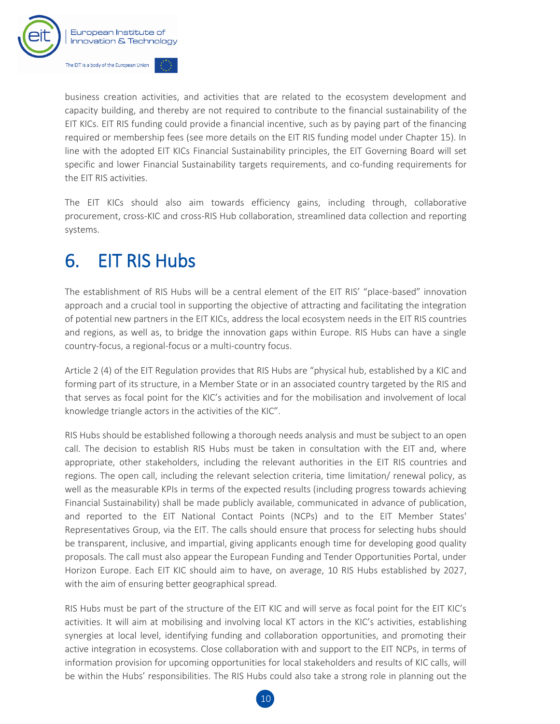

business creation activities, and activities that are related to the ecosystem development and capacity building, and thereby are not required to contribute to the financial sustainability of the EIT KICs. EIT RIS funding could provide a financial incentive, such as by paying part of the financing required or membership fees (see more details on the EIT RIS funding model under Chapter 15). In line with the adopted EIT KICs Financial Sustainability principles, the EIT Governing Board will set specific and lower Financial Sustainability targets requirements, and co-funding requirements for the EIT RIS activities.

The EIT KICs should also aim towards efficiency gains, including through, collaborative procurement, cross-KIC and cross-RIS Hub collaboration, streamlined data collection and reporting systems.

### <span id="page-10-0"></span>6. EIT RIS Hubs

The establishment of RIS Hubs will be a central element of the EIT RIS' "place-based" innovation approach and a crucial tool in supporting the objective of attracting and facilitating the integration of potential new partners in the EIT KICs, address the local ecosystem needs in the EIT RIS countries and regions, as well as, to bridge the innovation gaps within Europe. RIS Hubs can have a single country-focus, a regional-focus or a multi-country focus.

Article 2 (4) of the EIT Regulation provides that RIS Hubs are "physical hub, established by a KIC and forming part of its structure, in a Member State or in an associated country targeted by the RIS and that serves as focal point for the KIC's activities and for the mobilisation and involvement of local knowledge triangle actors in the activities of the KIC".

RIS Hubs should be established following a thorough needs analysis and must be subject to an open call. The decision to establish RIS Hubs must be taken in consultation with the EIT and, where appropriate, other stakeholders, including the relevant authorities in the EIT RIS countries and regions. The open call, including the relevant selection criteria, time limitation/ renewal policy, as well as the measurable KPIs in terms of the expected results (including progress towards achieving Financial Sustainability) shall be made publicly available, communicated in advance of publication, and reported to the EIT National Contact Points (NCPs) and to the EIT Member States' Representatives Group, via the EIT. The calls should ensure that process for selecting hubs should be transparent, inclusive, and impartial, giving applicants enough time for developing good quality proposals. The call must also appear the European Funding and Tender Opportunities Portal, under Horizon Europe. Each EIT KIC should aim to have, on average, 10 RIS Hubs established by 2027, with the aim of ensuring better geographical spread.

RIS Hubs must be part of the structure of the EIT KIC and will serve as focal point for the EIT KIC's activities. It will aim at mobilising and involving local KT actors in the KIC's activities, establishing synergies at local level, identifying funding and collaboration opportunities, and promoting their active integration in ecosystems. Close collaboration with and support to the EIT NCPs, in terms of information provision for upcoming opportunities for local stakeholders and results of KIC calls, will be within the Hubs' responsibilities. The RIS Hubs could also take a strong role in planning out the

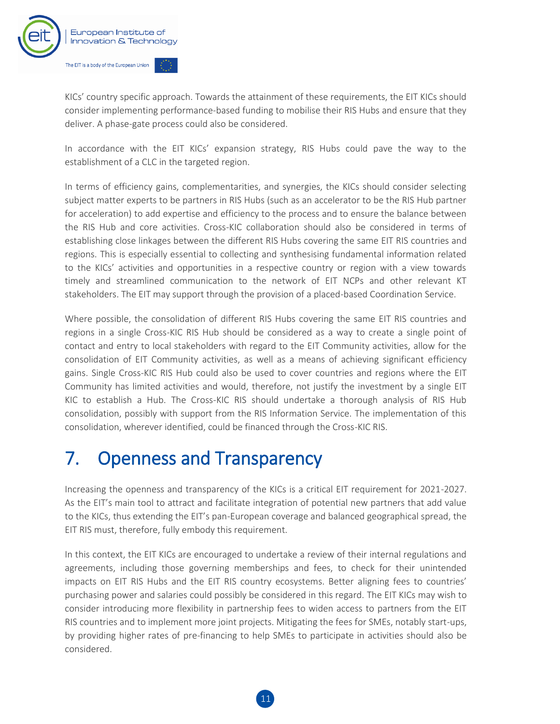

KICs' country specific approach. Towards the attainment of these requirements, the EIT KICs should consider implementing performance-based funding to mobilise their RIS Hubs and ensure that they deliver. A phase-gate process could also be considered.

In accordance with the EIT KICs' expansion strategy, RIS Hubs could pave the way to the establishment of a CLC in the targeted region.

In terms of efficiency gains, complementarities, and synergies, the KICs should consider selecting subject matter experts to be partners in RIS Hubs (such as an accelerator to be the RIS Hub partner for acceleration) to add expertise and efficiency to the process and to ensure the balance between the RIS Hub and core activities. Cross-KIC collaboration should also be considered in terms of establishing close linkages between the different RIS Hubs covering the same EIT RIS countries and regions. This is especially essential to collecting and synthesising fundamental information related to the KICs' activities and opportunities in a respective country or region with a view towards timely and streamlined communication to the network of EIT NCPs and other relevant KT stakeholders. The EIT may support through the provision of a placed-based Coordination Service.

Where possible, the consolidation of different RIS Hubs covering the same EIT RIS countries and regions in a single Cross-KIC RIS Hub should be considered as a way to create a single point of contact and entry to local stakeholders with regard to the EIT Community activities, allow for the consolidation of EIT Community activities, as well as a means of achieving significant efficiency gains. Single Cross-KIC RIS Hub could also be used to cover countries and regions where the EIT Community has limited activities and would, therefore, not justify the investment by a single EIT KIC to establish a Hub. The Cross-KIC RIS should undertake a thorough analysis of RIS Hub consolidation, possibly with support from the RIS Information Service. The implementation of this consolidation, wherever identified, could be financed through the Cross-KIC RIS.

### <span id="page-11-0"></span>7. Openness and Transparency

Increasing the openness and transparency of the KICs is a critical EIT requirement for 2021-2027. As the EIT's main tool to attract and facilitate integration of potential new partners that add value to the KICs, thus extending the EIT's pan-European coverage and balanced geographical spread, the EIT RIS must, therefore, fully embody this requirement.

In this context, the EIT KICs are encouraged to undertake a review of their internal regulations and agreements, including those governing memberships and fees, to check for their unintended impacts on EIT RIS Hubs and the EIT RIS country ecosystems. Better aligning fees to countries' purchasing power and salaries could possibly be considered in this regard. The EIT KICs may wish to consider introducing more flexibility in partnership fees to widen access to partners from the EIT RIS countries and to implement more joint projects. Mitigating the fees for SMEs, notably start-ups, by providing higher rates of pre-financing to help SMEs to participate in activities should also be considered.

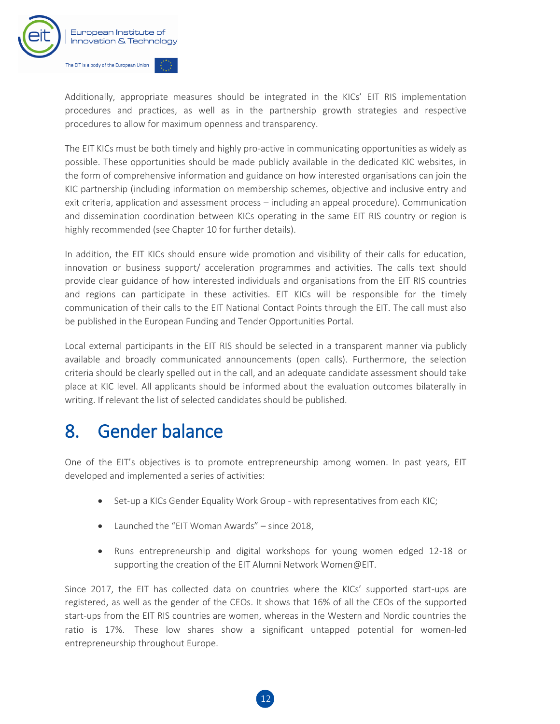

Additionally, appropriate measures should be integrated in the KICs' EIT RIS implementation procedures and practices, as well as in the partnership growth strategies and respective procedures to allow for maximum openness and transparency.

The EIT KICs must be both timely and highly pro-active in communicating opportunities as widely as possible. These opportunities should be made publicly available in the dedicated KIC websites, in the form of comprehensive information and guidance on how interested organisations can join the KIC partnership (including information on membership schemes, objective and inclusive entry and exit criteria, application and assessment process – including an appeal procedure). Communication and dissemination coordination between KICs operating in the same EIT RIS country or region is highly recommended (see Chapter 10 for further details).

In addition, the EIT KICs should ensure wide promotion and visibility of their calls for education, innovation or business support/ acceleration programmes and activities. The calls text should provide clear guidance of how interested individuals and organisations from the EIT RIS countries and regions can participate in these activities. EIT KICs will be responsible for the timely communication of their calls to the EIT National Contact Points through the EIT. The call must also be published in the European Funding and Tender Opportunities Portal.

Local external participants in the EIT RIS should be selected in a transparent manner via publicly available and broadly communicated announcements (open calls). Furthermore, the selection criteria should be clearly spelled out in the call, and an adequate candidate assessment should take place at KIC level. All applicants should be informed about the evaluation outcomes bilaterally in writing. If relevant the list of selected candidates should be published.

### <span id="page-12-0"></span>8. Gender balance

One of the EIT's objectives is to promote entrepreneurship among women. In past years, EIT developed and implemented a series of activities:

- Set-up a KICs Gender Equality Work Group with representatives from each KIC;
- Launched the "EIT Woman Awards" since 2018,
- Runs entrepreneurship and digital workshops for young women edged 12-18 or supporting the creation of the EIT Alumni Networ[k Women@EIT.](mailto:Women@EIT.)

Since 2017, the EIT has collected data on countries where the KICs' supported start-ups are registered, as well as the gender of the CEOs. It shows that 16% of all the CEOs of the supported start-ups from the EIT RIS countries are women, whereas in the Western and Nordic countries the ratio is 17%. These low shares show a significant untapped potential for women-led entrepreneurship throughout Europe.

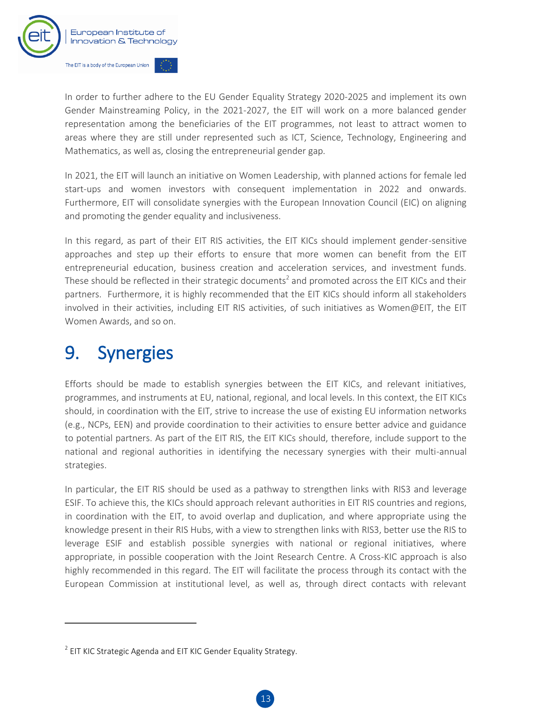

In order to further adhere to the EU Gender Equality Strategy 2020-2025 and implement its own [Gender Mainstreaming Policy,](https://eit.europa.eu/library/eit-gender-mainstreaming-policy) in the 2021-2027, the EIT will work on a more balanced gender representation among the beneficiaries of the EIT programmes, not least to attract women to areas where they are still under represented such as ICT, Science, Technology, Engineering and Mathematics, as well as, closing the entrepreneurial gender gap.

In 2021, the EIT will launch an initiative on Women Leadership, with planned actions for female led start-ups and women investors with consequent implementation in 2022 and onwards. Furthermore, EIT will consolidate synergies with the European Innovation Council (EIC) on aligning and promoting the gender equality and inclusiveness.

In this regard, as part of their EIT RIS activities, the EIT KICs should implement gender-sensitive approaches and step up their efforts to ensure that more women can benefit from the EIT entrepreneurial education, business creation and acceleration services, and investment funds. These should be reflected in their strategic documents<sup>2</sup> and promoted across the EIT KICs and their partners. Furthermore, it is highly recommended that the EIT KICs should inform all stakeholders involved in their activities, including EIT RIS activities, of such initiatives as Women@EIT, the EIT Women Awards, and so on.

# <span id="page-13-0"></span>9. Synergies

 $\overline{a}$ 

Efforts should be made to establish synergies between the EIT KICs, and relevant initiatives, programmes, and instruments at EU, national, regional, and local levels. In this context, the EIT KICs should, in coordination with the EIT, strive to increase the use of existing EU information networks (e.g., NCPs, EEN) and provide coordination to their activities to ensure better advice and guidance to potential partners. As part of the EIT RIS, the EIT KICs should, therefore, include support to the national and regional authorities in identifying the necessary synergies with their multi-annual strategies.

In particular, the EIT RIS should be used as a pathway to strengthen links with RIS3 and leverage ESIF. To achieve this, the KICs should approach relevant authorities in EIT RIS countries and regions, in coordination with the EIT, to avoid overlap and duplication, and where appropriate using the knowledge present in their RIS Hubs, with a view to strengthen links with RIS3, better use the RIS to leverage ESIF and establish possible synergies with national or regional initiatives, where appropriate, in possible cooperation with the Joint Research Centre. A Cross-KIC approach is also highly recommended in this regard. The EIT will facilitate the process through its contact with the European Commission at institutional level, as well as, through direct contacts with relevant

 $2$  EIT KIC Strategic Agenda and EIT KIC Gender Equality Strategy.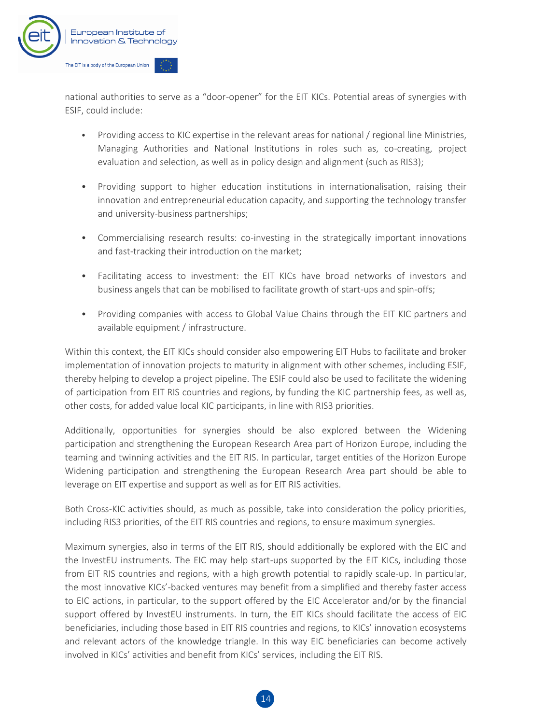

national authorities to serve as a "door-opener" for the EIT KICs. Potential areas of synergies with ESIF, could include:

- Providing access to KIC expertise in the relevant areas for national / regional line Ministries, Managing Authorities and National Institutions in roles such as, co-creating, project evaluation and selection, as well as in policy design and alignment (such as RIS3);
- Providing support to higher education institutions in internationalisation, raising their innovation and entrepreneurial education capacity, and supporting the technology transfer and university-business partnerships;
- Commercialising research results: co-investing in the strategically important innovations and fast-tracking their introduction on the market;
- Facilitating access to investment: the EIT KICs have broad networks of investors and business angels that can be mobilised to facilitate growth of start-ups and spin-offs;
- Providing companies with access to Global Value Chains through the EIT KIC partners and available equipment / infrastructure.

Within this context, the EIT KICs should consider also empowering EIT Hubs to facilitate and broker implementation of innovation projects to maturity in alignment with other schemes, including ESIF, thereby helping to develop a project pipeline. The ESIF could also be used to facilitate the widening of participation from EIT RIS countries and regions, by funding the KIC partnership fees, as well as, other costs, for added value local KIC participants, in line with RIS3 priorities.

Additionally, opportunities for synergies should be also explored between the Widening participation and strengthening the European Research Area part of Horizon Europe, including the teaming and twinning activities and the EIT RIS. In particular, target entities of the Horizon Europe Widening participation and strengthening the European Research Area part should be able to leverage on EIT expertise and support as well as for EIT RIS activities.

Both Cross-KIC activities should, as much as possible, take into consideration the policy priorities, including RIS3 priorities, of the EIT RIS countries and regions, to ensure maximum synergies.

Maximum synergies, also in terms of the EIT RIS, should additionally be explored with the EIC and the InvestEU instruments. The EIC may help start-ups supported by the EIT KICs, including those from EIT RIS countries and regions, with a high growth potential to rapidly scale-up. In particular, the most innovative KICs'-backed ventures may benefit from a simplified and thereby faster access to EIC actions, in particular, to the support offered by the EIC Accelerator and/or by the financial support offered by InvestEU instruments. In turn, the EIT KICs should facilitate the access of EIC beneficiaries, including those based in EIT RIS countries and regions, to KICs' innovation ecosystems and relevant actors of the knowledge triangle. In this way EIC beneficiaries can become actively involved in KICs' activities and benefit from KICs' services, including the EIT RIS.

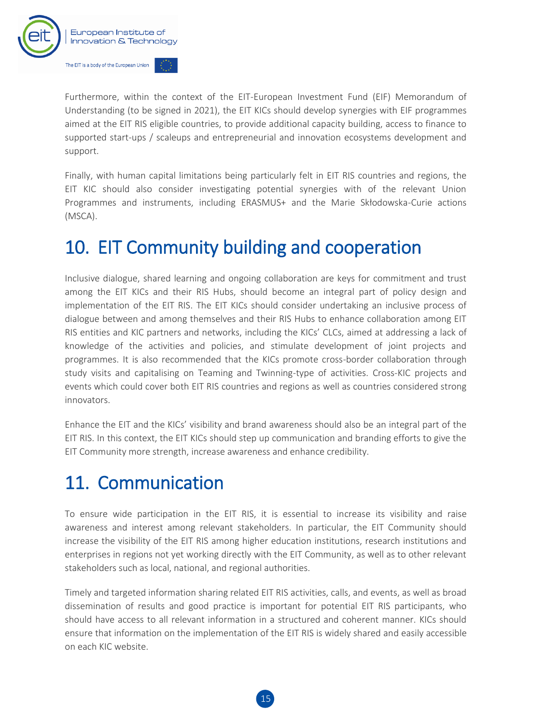

Furthermore, within the context of the EIT-European Investment Fund (EIF) Memorandum of Understanding (to be signed in 2021), the EIT KICs should develop synergies with EIF programmes aimed at the EIT RIS eligible countries, to provide additional capacity building, access to finance to supported start-ups / scaleups and entrepreneurial and innovation ecosystems development and support.

Finally, with human capital limitations being particularly felt in EIT RIS countries and regions, the EIT KIC should also consider investigating potential synergies with of the relevant Union Programmes and instruments, including ERASMUS+ and the Marie Skłodowska-Curie actions (MSCA).

## <span id="page-15-0"></span>10. EIT Community building and cooperation

Inclusive dialogue, shared learning and ongoing collaboration are keys for commitment and trust among the EIT KICs and their RIS Hubs, should become an integral part of policy design and implementation of the EIT RIS. The EIT KICs should consider undertaking an inclusive process of dialogue between and among themselves and their RIS Hubs to enhance collaboration among EIT RIS entities and KIC partners and networks, including the KICs' CLCs, aimed at addressing a lack of knowledge of the activities and policies, and stimulate development of joint projects and programmes. It is also recommended that the KICs promote cross-border collaboration through study visits and capitalising on Teaming and Twinning-type of activities. Cross-KIC projects and events which could cover both EIT RIS countries and regions as well as countries considered strong innovators.

Enhance the EIT and the KICs' visibility and brand awareness should also be an integral part of the EIT RIS. In this context, the EIT KICs should step up communication and branding efforts to give the EIT Community more strength, increase awareness and enhance credibility.

### <span id="page-15-1"></span>11. Communication

To ensure wide participation in the EIT RIS, it is essential to increase its visibility and raise awareness and interest among relevant stakeholders. In particular, the EIT Community should increase the visibility of the EIT RIS among higher education institutions, research institutions and enterprises in regions not yet working directly with the EIT Community, as well as to other relevant stakeholders such as local, national, and regional authorities.

Timely and targeted information sharing related EIT RIS activities, calls, and events, as well as broad dissemination of results and good practice is important for potential EIT RIS participants, who should have access to all relevant information in a structured and coherent manner. KICs should ensure that information on the implementation of the EIT RIS is widely shared and easily accessible on each KIC website.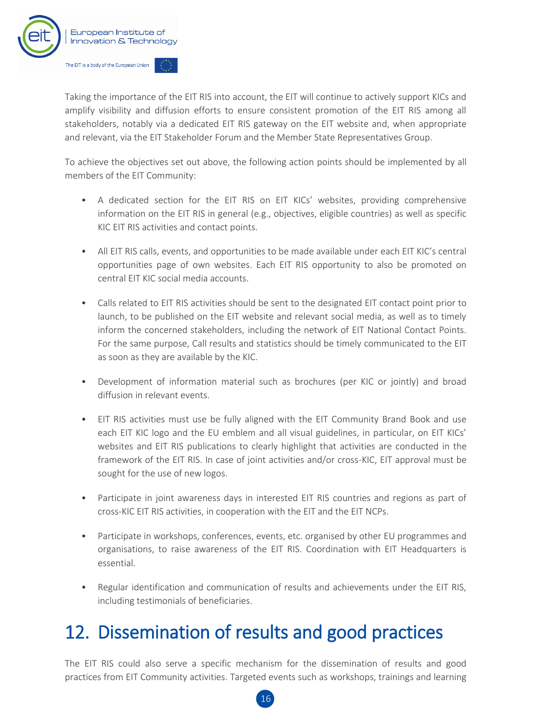

Taking the importance of the EIT RIS into account, the EIT will continue to actively support KICs and amplify visibility and diffusion efforts to ensure consistent promotion of the EIT RIS among all stakeholders, notably via a dedicated EIT RIS gateway on the EIT website and, when appropriate and relevant, via the EIT Stakeholder Forum and the Member State Representatives Group.

To achieve the objectives set out above, the following action points should be implemented by all members of the EIT Community:

- A dedicated section for the EIT RIS on EIT KICs' websites, providing comprehensive information on the EIT RIS in general (e.g., objectives, eligible countries) as well as specific KIC EIT RIS activities and contact points.
- All EIT RIS calls, events, and opportunities to be made available under each EIT KIC's central opportunities page of own websites. Each EIT RIS opportunity to also be promoted on central EIT KIC social media accounts.
- Calls related to EIT RIS activities should be sent to the designated EIT contact point prior to launch, to be published on the EIT website and relevant social media, as well as to timely inform the concerned stakeholders, including the network of EIT National Contact Points. For the same purpose, Call results and statistics should be timely communicated to the EIT as soon as they are available by the KIC.
- Development of information material such as brochures (per KIC or jointly) and broad diffusion in relevant events.
- EIT RIS activities must use be fully aligned with the EIT Community Brand Book and use each EIT KIC logo and the EU emblem and all visual guidelines, in particular, on EIT KICs' websites and EIT RIS publications to clearly highlight that activities are conducted in the framework of the EIT RIS. In case of joint activities and/or cross-KIC, EIT approval must be sought for the use of new logos.
- Participate in joint awareness days in interested EIT RIS countries and regions as part of cross-KIC EIT RIS activities, in cooperation with the EIT and the EIT NCPs.
- Participate in workshops, conferences, events, etc. organised by other EU programmes and organisations, to raise awareness of the EIT RIS. Coordination with EIT Headquarters is essential.
- Regular identification and communication of results and achievements under the EIT RIS, including testimonials of beneficiaries.

### <span id="page-16-0"></span>12. Dissemination of results and good practices

The EIT RIS could also serve a specific mechanism for the dissemination of results and good practices from EIT Community activities. Targeted events such as workshops, trainings and learning

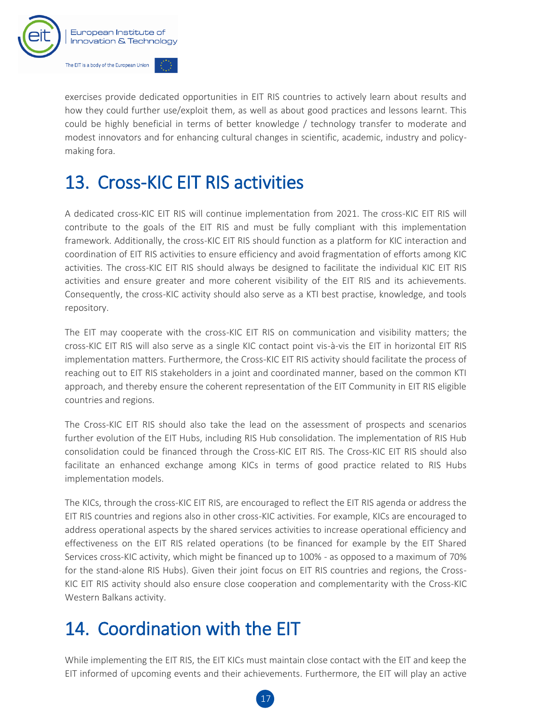

exercises provide dedicated opportunities in EIT RIS countries to actively learn about results and how they could further use/exploit them, as well as about good practices and lessons learnt. This could be highly beneficial in terms of better knowledge / technology transfer to moderate and modest innovators and for enhancing cultural changes in scientific, academic, industry and policymaking fora.

# <span id="page-17-0"></span>13. Cross-KIC EIT RIS activities

A dedicated cross-KIC EIT RIS will continue implementation from 2021. The cross-KIC EIT RIS will contribute to the goals of the EIT RIS and must be fully compliant with this implementation framework. Additionally, the cross-KIC EIT RIS should function as a platform for KIC interaction and coordination of EIT RIS activities to ensure efficiency and avoid fragmentation of efforts among KIC activities. The cross-KIC EIT RIS should always be designed to facilitate the individual KIC EIT RIS activities and ensure greater and more coherent visibility of the EIT RIS and its achievements. Consequently, the cross-KIC activity should also serve as a KTI best practise, knowledge, and tools repository.

The EIT may cooperate with the cross-KIC EIT RIS on communication and visibility matters; the cross-KIC EIT RIS will also serve as a single KIC contact point vis-à-vis the EIT in horizontal EIT RIS implementation matters. Furthermore, the Cross-KIC EIT RIS activity should facilitate the process of reaching out to EIT RIS stakeholders in a joint and coordinated manner, based on the common KTI approach, and thereby ensure the coherent representation of the EIT Community in EIT RIS eligible countries and regions.

The Cross-KIC EIT RIS should also take the lead on the assessment of prospects and scenarios further evolution of the EIT Hubs, including RIS Hub consolidation. The implementation of RIS Hub consolidation could be financed through the Cross-KIC EIT RIS. The Cross-KIC EIT RIS should also facilitate an enhanced exchange among KICs in terms of good practice related to RIS Hubs implementation models.

The KICs, through the cross-KIC EIT RIS, are encouraged to reflect the EIT RIS agenda or address the EIT RIS countries and regions also in other cross-KIC activities. For example, KICs are encouraged to address operational aspects by the shared services activities to increase operational efficiency and effectiveness on the EIT RIS related operations (to be financed for example by the EIT Shared Services cross-KIC activity, which might be financed up to 100% - as opposed to a maximum of 70% for the stand-alone RIS Hubs). Given their joint focus on EIT RIS countries and regions, the Cross-KIC EIT RIS activity should also ensure close cooperation and complementarity with the Cross-KIC Western Balkans activity.

# <span id="page-17-1"></span>14. Coordination with the EIT

While implementing the EIT RIS, the EIT KICs must maintain close contact with the EIT and keep the EIT informed of upcoming events and their achievements. Furthermore, the EIT will play an active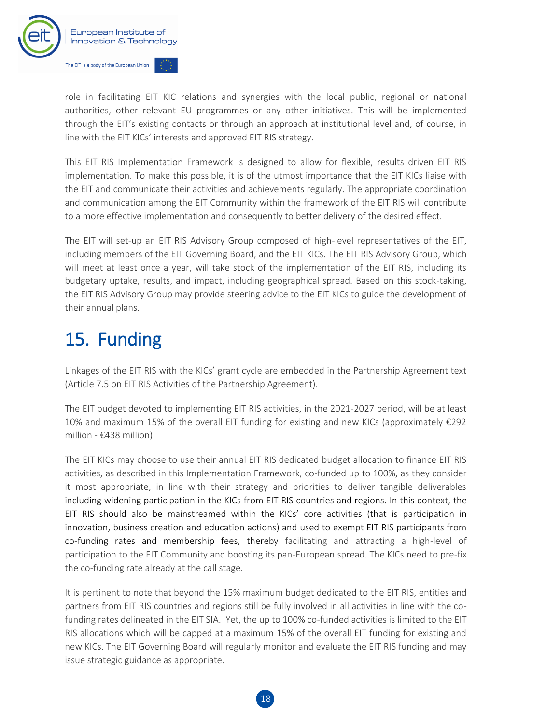

role in facilitating EIT KIC relations and synergies with the local public, regional or national authorities, other relevant EU programmes or any other initiatives. This will be implemented through the EIT's existing contacts or through an approach at institutional level and, of course, in line with the EIT KICs' interests and approved EIT RIS strategy.

This EIT RIS Implementation Framework is designed to allow for flexible, results driven EIT RIS implementation. To make this possible, it is of the utmost importance that the EIT KICs liaise with the EIT and communicate their activities and achievements regularly. The appropriate coordination and communication among the EIT Community within the framework of the EIT RIS will contribute to a more effective implementation and consequently to better delivery of the desired effect.

The EIT will set-up an EIT RIS Advisory Group composed of high-level representatives of the EIT, including members of the EIT Governing Board, and the EIT KICs. The EIT RIS Advisory Group, which will meet at least once a year, will take stock of the implementation of the EIT RIS, including its budgetary uptake, results, and impact, including geographical spread. Based on this stock-taking, the EIT RIS Advisory Group may provide steering advice to the EIT KICs to guide the development of their annual plans.

## <span id="page-18-0"></span>15. Funding

Linkages of the EIT RIS with the KICs' grant cycle are embedded in the Partnership Agreement text (Article 7.5 on EIT RIS Activities of the Partnership Agreement).

The EIT budget devoted to implementing EIT RIS activities, in the 2021-2027 period, will be at least 10% and maximum 15% of the overall EIT funding for existing and new KICs (approximately €292 million - €438 million).

The EIT KICs may choose to use their annual EIT RIS dedicated budget allocation to finance EIT RIS activities, as described in this Implementation Framework, co-funded up to 100%, as they consider it most appropriate, in line with their strategy and priorities to deliver tangible deliverables including widening participation in the KICs from EIT RIS countries and regions. In this context, the EIT RIS should also be mainstreamed within the KICs' core activities (that is participation in innovation, business creation and education actions) and used to exempt EIT RIS participants from co-funding rates and membership fees, thereby facilitating and attracting a high-level of participation to the EIT Community and boosting its pan-European spread. The KICs need to pre-fix the co-funding rate already at the call stage.

It is pertinent to note that beyond the 15% maximum budget dedicated to the EIT RIS, entities and partners from EIT RIS countries and regions still be fully involved in all activities in line with the cofunding rates delineated in the EIT SIA. Yet, the up to 100% co-funded activities is limited to the EIT RIS allocations which will be capped at a maximum 15% of the overall EIT funding for existing and new KICs. The EIT Governing Board will regularly monitor and evaluate the EIT RIS funding and may issue strategic guidance as appropriate.

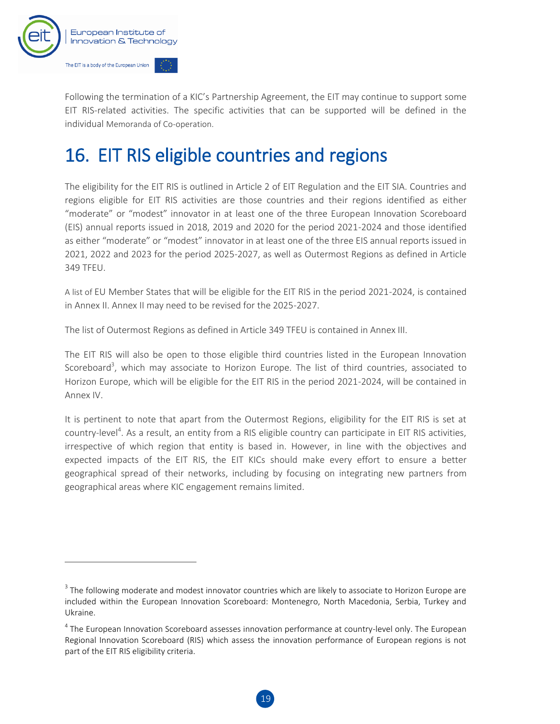

 $\overline{a}$ 

Following the termination of a KIC's Partnership Agreement, the EIT may continue to support some EIT RIS-related activities. The specific activities that can be supported will be defined in the individual Memoranda of Co-operation.

## <span id="page-19-0"></span>16. EIT RIS eligible countries and regions

The eligibility for the EIT RIS is outlined in Article 2 of EIT Regulation and the EIT SIA. Countries and regions eligible for EIT RIS activities are those countries and their regions identified as either "moderate" or "modest" innovator in at least one of the three European Innovation Scoreboard (EIS) annual reports issued in 2018, 2019 and 2020 for the period 2021-2024 and those identified as either "moderate" or "modest" innovator in at least one of the three EIS annual reports issued in 2021, 2022 and 2023 for the period 2025-2027, as well as Outermost Regions as defined in Article 349 TFEU.

A list of EU Member States that will be eligible for the EIT RIS in the period 2021-2024, is contained in Annex II. Annex II may need to be revised for the 2025-2027.

The list of Outermost Regions as defined in Article 349 TFEU is contained in Annex III.

The EIT RIS will also be open to those eligible third countries listed in the European Innovation Scoreboard<sup>3</sup>, which may associate to Horizon Europe. The list of third countries, associated to Horizon Europe, which will be eligible for the EIT RIS in the period 2021-2024, will be contained in Annex IV.

It is pertinent to note that apart from the Outermost Regions, eligibility for the EIT RIS is set at country-level<sup>4</sup>. As a result, an entity from a RIS eligible country can participate in EIT RIS activities, irrespective of which region that entity is based in. However, in line with the objectives and expected impacts of the EIT RIS, the EIT KICs should make every effort to ensure a better geographical spread of their networks, including by focusing on integrating new partners from geographical areas where KIC engagement remains limited.

 $^3$  The following moderate and modest innovator countries which are likely to associate to Horizon Europe are included within the European Innovation Scoreboard: Montenegro, North Macedonia, Serbia, Turkey and Ukraine.

<sup>&</sup>lt;sup>4</sup> The European Innovation Scoreboard assesses innovation performance at country-level only. The European Regional Innovation Scoreboard (RIS) which assess the innovation performance of European regions is not part of the EIT RIS eligibility criteria.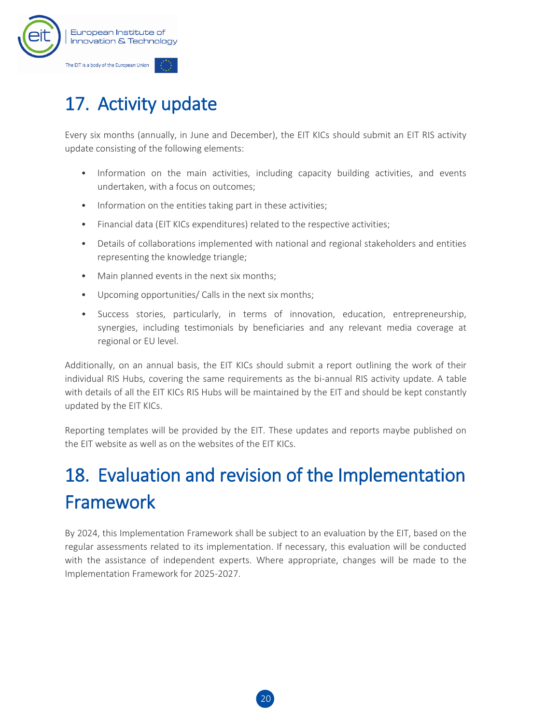

# <span id="page-20-0"></span>17. Activity update

Every six months (annually, in June and December), the EIT KICs should submit an EIT RIS activity update consisting of the following elements:

- Information on the main activities, including capacity building activities, and events undertaken, with a focus on outcomes;
- Information on the entities taking part in these activities;
- Financial data (EIT KICs expenditures) related to the respective activities;
- Details of collaborations implemented with national and regional stakeholders and entities representing the knowledge triangle;
- Main planned events in the next six months;
- Upcoming opportunities/ Calls in the next six months;
- Success stories, particularly, in terms of innovation, education, entrepreneurship, synergies, including testimonials by beneficiaries and any relevant media coverage at regional or EU level.

Additionally, on an annual basis, the EIT KICs should submit a report outlining the work of their individual RIS Hubs, covering the same requirements as the bi-annual RIS activity update. A table with details of all the EIT KICs RIS Hubs will be maintained by the EIT and should be kept constantly updated by the EIT KICs.

Reporting templates will be provided by the EIT. These updates and reports maybe published on the EIT website as well as on the websites of the EIT KICs.

# <span id="page-20-1"></span>18. Evaluation and revision of the Implementation Framework

By 2024, this Implementation Framework shall be subject to an evaluation by the EIT, based on the regular assessments related to its implementation. If necessary, this evaluation will be conducted with the assistance of independent experts. Where appropriate, changes will be made to the Implementation Framework for 2025-2027.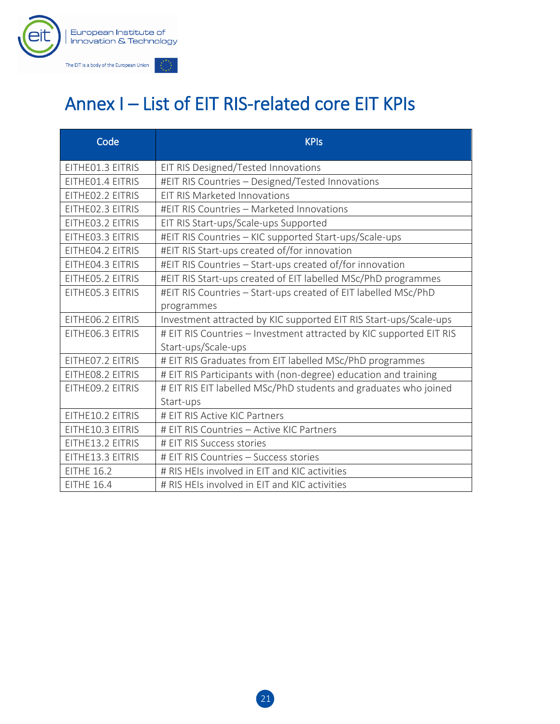

# Annex I – List of EIT RIS-related core EIT KPIs

| Code              | <b>KPIs</b>                                                         |
|-------------------|---------------------------------------------------------------------|
| EITHEO1.3 EITRIS  | EIT RIS Designed/Tested Innovations                                 |
| EITHEO1.4 EITRIS  | #EIT RIS Countries - Designed/Tested Innovations                    |
| EITHEO2.2 EITRIS  | <b>EIT RIS Marketed Innovations</b>                                 |
| EITHEO2.3 EITRIS  | #EIT RIS Countries - Marketed Innovations                           |
| EITHE03.2 EITRIS  | EIT RIS Start-ups/Scale-ups Supported                               |
| EITHE03.3 EITRIS  | #EIT RIS Countries - KIC supported Start-ups/Scale-ups              |
| EITHE04.2 EITRIS  | #EIT RIS Start-ups created of/for innovation                        |
| EITHE04.3 EITRIS  | #EIT RIS Countries - Start-ups created of/for innovation            |
| EITHE05.2 EITRIS  | #EIT RIS Start-ups created of EIT labelled MSc/PhD programmes       |
| EITHE05.3 EITRIS  | #EIT RIS Countries - Start-ups created of EIT labelled MSc/PhD      |
|                   | programmes                                                          |
| EITHE06.2 EITRIS  | Investment attracted by KIC supported EIT RIS Start-ups/Scale-ups   |
| EITHEO6.3 EITRIS  | # EIT RIS Countries - Investment attracted by KIC supported EIT RIS |
|                   | Start-ups/Scale-ups                                                 |
| EITHEO7.2 EITRIS  | # EIT RIS Graduates from EIT labelled MSc/PhD programmes            |
| EITHEO8.2 EITRIS  | # EIT RIS Participants with (non-degree) education and training     |
| EITHE09.2 EITRIS  | # EIT RIS EIT labelled MSc/PhD students and graduates who joined    |
|                   | Start-ups                                                           |
| EITHE10.2 EITRIS  | # EIT RIS Active KIC Partners                                       |
| EITHE10.3 EITRIS  | # EIT RIS Countries - Active KIC Partners                           |
| EITHE13.2 EITRIS  | # EIT RIS Success stories                                           |
| EITHE13.3 EITRIS  | # EIT RIS Countries - Success stories                               |
| <b>EITHE 16.2</b> | # RIS HEIs involved in EIT and KIC activities                       |
| <b>EITHE 16.4</b> | # RIS HEIs involved in EIT and KIC activities                       |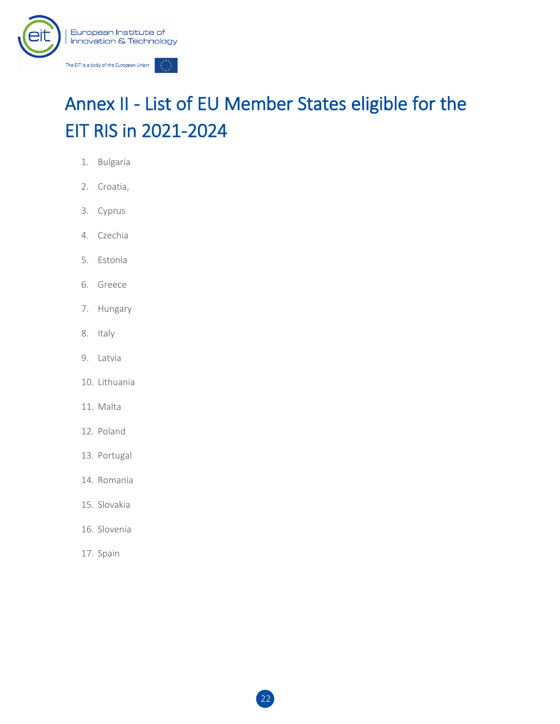

# Annex II - List of EU Member States eligible for the EIT RIS in 2021-2024

- 1. Bulgaria
- 2. Croatia,
- 3. Cyprus
- 4. Czechia
- 5. Estonia
- 6. Greece
- 7. Hungary
- 8. Italy
- 9. Latvia
- 10. Lithuania
- 11. Malta
- 12. Poland
- 13. Portugal
- 14. Romania
- 15. Slovakia
- 16. Slovenia
- 17. Spain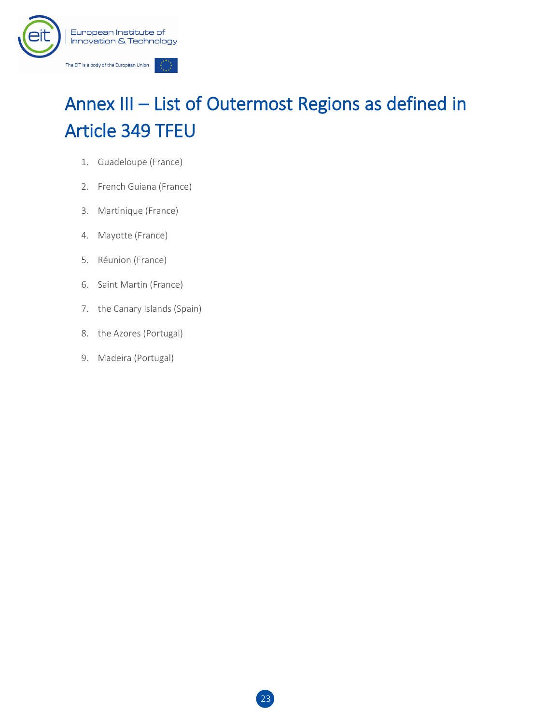

# Annex III – List of Outermost Regions as defined in Article 349 TFEU

- 1. Guadeloupe (France)
- 2. French Guiana (France)
- 3. Martinique (France)
- 4. Mayotte (France)
- 5. Réunion (France)
- 6. Saint Martin (France)
- 7. the Canary Islands (Spain)
- 8. the Azores (Portugal)
- 9. Madeira (Portugal)